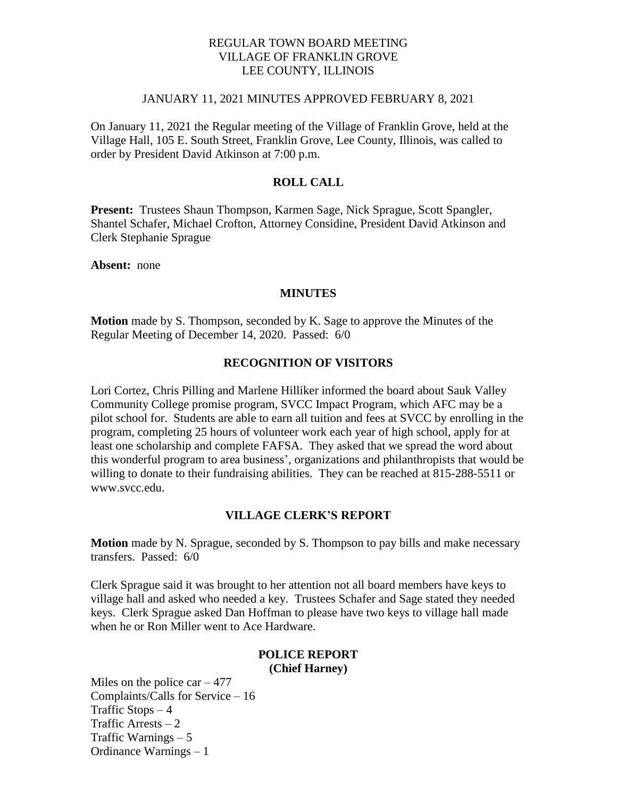## REGULAR TOWN BOARD MEETING VILLAGE OF FRANKLIN GROVE LEE COUNTY, ILLINOIS

### JANUARY 11, 2021 MINUTES APPROVED FEBRUARY 8, 2021

On January 11, 2021 the Regular meeting of the Village of Franklin Grove, held at the Village Hall, 105 E. South Street, Franklin Grove, Lee County, Illinois, was called to order by President David Atkinson at 7:00 p.m.

## **ROLL CALL**

**Present:** Trustees Shaun Thompson, Karmen Sage, Nick Sprague, Scott Spangler, Shantel Schafer, Michael Crofton, Attorney Considine, President David Atkinson and Clerk Stephanie Sprague

**Absent:** none

### **MINUTES**

**Motion** made by S. Thompson, seconded by K. Sage to approve the Minutes of the Regular Meeting of December 14, 2020. Passed: 6/0

### **RECOGNITION OF VISITORS**

Lori Cortez, Chris Pilling and Marlene Hilliker informed the board about Sauk Valley Community College promise program, SVCC Impact Program, which AFC may be a pilot school for. Students are able to earn all tuition and fees at SVCC by enrolling in the program, completing 25 hours of volunteer work each year of high school, apply for at least one scholarship and complete FAFSA. They asked that we spread the word about this wonderful program to area business', organizations and philanthropists that would be willing to donate to their fundraising abilities. They can be reached at 815-288-5511 or www.svcc.edu.

### **VILLAGE CLERK'S REPORT**

**Motion** made by N. Sprague, seconded by S. Thompson to pay bills and make necessary transfers. Passed: 6/0

Clerk Sprague said it was brought to her attention not all board members have keys to village hall and asked who needed a key. Trustees Schafer and Sage stated they needed keys. Clerk Sprague asked Dan Hoffman to please have two keys to village hall made when he or Ron Miller went to Ace Hardware.

### **POLICE REPORT (Chief Harney)**

Miles on the police  $car - 477$ Complaints/Calls for Service – 16 Traffic Stops  $-4$ Traffic Arrests – 2 Traffic Warnings – 5 Ordinance Warnings – 1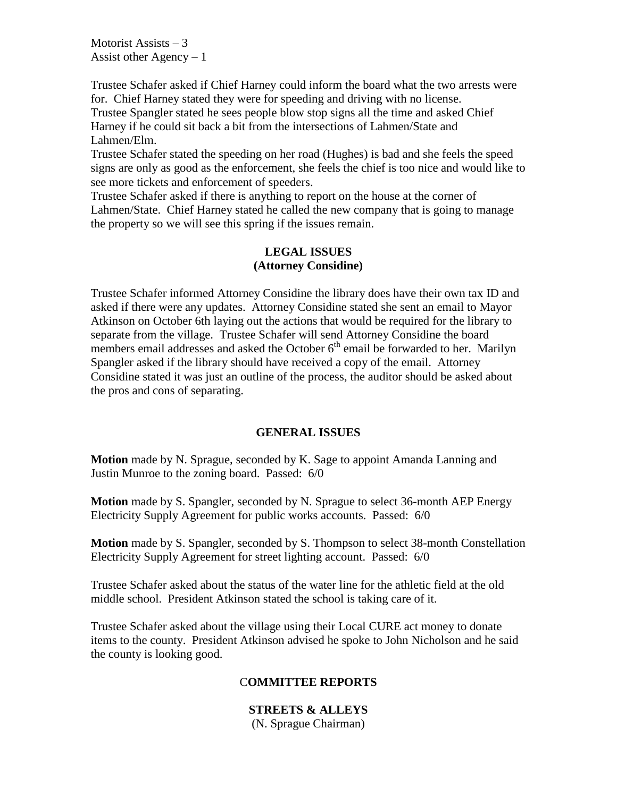Motorist Assists  $-3$ Assist other Agency  $-1$ 

Trustee Schafer asked if Chief Harney could inform the board what the two arrests were for. Chief Harney stated they were for speeding and driving with no license.

Trustee Spangler stated he sees people blow stop signs all the time and asked Chief Harney if he could sit back a bit from the intersections of Lahmen/State and Lahmen/Elm.

Trustee Schafer stated the speeding on her road (Hughes) is bad and she feels the speed signs are only as good as the enforcement, she feels the chief is too nice and would like to see more tickets and enforcement of speeders.

Trustee Schafer asked if there is anything to report on the house at the corner of Lahmen/State. Chief Harney stated he called the new company that is going to manage the property so we will see this spring if the issues remain.

## **LEGAL ISSUES (Attorney Considine)**

Trustee Schafer informed Attorney Considine the library does have their own tax ID and asked if there were any updates. Attorney Considine stated she sent an email to Mayor Atkinson on October 6th laying out the actions that would be required for the library to separate from the village. Trustee Schafer will send Attorney Considine the board members email addresses and asked the October  $6<sup>th</sup>$  email be forwarded to her. Marilyn Spangler asked if the library should have received a copy of the email. Attorney Considine stated it was just an outline of the process, the auditor should be asked about the pros and cons of separating.

## **GENERAL ISSUES**

**Motion** made by N. Sprague, seconded by K. Sage to appoint Amanda Lanning and Justin Munroe to the zoning board. Passed: 6/0

**Motion** made by S. Spangler, seconded by N. Sprague to select 36-month AEP Energy Electricity Supply Agreement for public works accounts. Passed: 6/0

**Motion** made by S. Spangler, seconded by S. Thompson to select 38-month Constellation Electricity Supply Agreement for street lighting account. Passed: 6/0

Trustee Schafer asked about the status of the water line for the athletic field at the old middle school. President Atkinson stated the school is taking care of it.

Trustee Schafer asked about the village using their Local CURE act money to donate items to the county. President Atkinson advised he spoke to John Nicholson and he said the county is looking good.

## C**OMMITTEE REPORTS**

## **STREETS & ALLEYS**

(N. Sprague Chairman)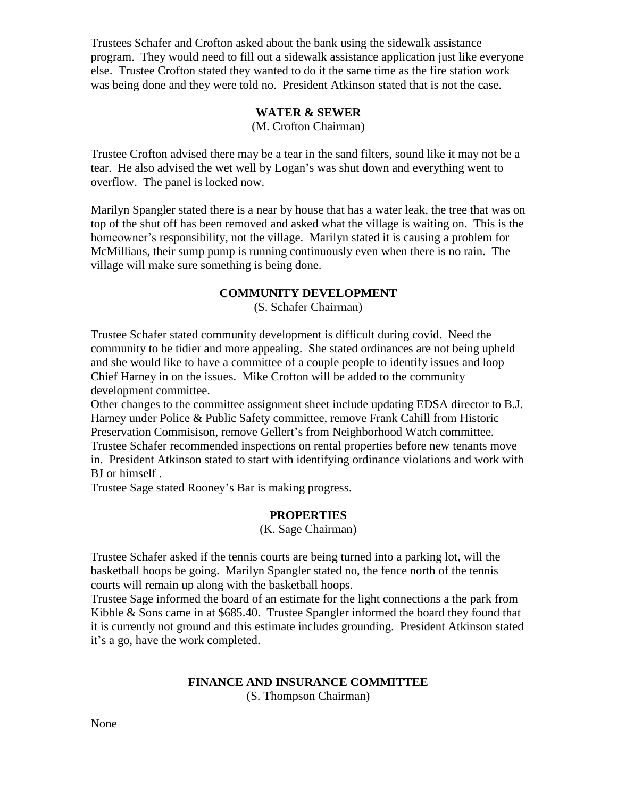Trustees Schafer and Crofton asked about the bank using the sidewalk assistance program. They would need to fill out a sidewalk assistance application just like everyone else. Trustee Crofton stated they wanted to do it the same time as the fire station work was being done and they were told no. President Atkinson stated that is not the case.

# **WATER & SEWER**

(M. Crofton Chairman)

Trustee Crofton advised there may be a tear in the sand filters, sound like it may not be a tear. He also advised the wet well by Logan's was shut down and everything went to overflow. The panel is locked now.

Marilyn Spangler stated there is a near by house that has a water leak, the tree that was on top of the shut off has been removed and asked what the village is waiting on. This is the homeowner's responsibility, not the village. Marilyn stated it is causing a problem for McMillians, their sump pump is running continuously even when there is no rain. The village will make sure something is being done.

## **COMMUNITY DEVELOPMENT**

(S. Schafer Chairman)

Trustee Schafer stated community development is difficult during covid. Need the community to be tidier and more appealing. She stated ordinances are not being upheld and she would like to have a committee of a couple people to identify issues and loop Chief Harney in on the issues. Mike Crofton will be added to the community development committee.

Other changes to the committee assignment sheet include updating EDSA director to B.J. Harney under Police & Public Safety committee, remove Frank Cahill from Historic Preservation Commisison, remove Gellert's from Neighborhood Watch committee. Trustee Schafer recommended inspections on rental properties before new tenants move in. President Atkinson stated to start with identifying ordinance violations and work with BJ or himself .

Trustee Sage stated Rooney's Bar is making progress.

## **PROPERTIES**

(K. Sage Chairman)

Trustee Schafer asked if the tennis courts are being turned into a parking lot, will the basketball hoops be going. Marilyn Spangler stated no, the fence north of the tennis courts will remain up along with the basketball hoops.

Trustee Sage informed the board of an estimate for the light connections a the park from Kibble & Sons came in at \$685.40. Trustee Spangler informed the board they found that it is currently not ground and this estimate includes grounding. President Atkinson stated it's a go, have the work completed.

## **FINANCE AND INSURANCE COMMITTEE**

(S. Thompson Chairman)

None